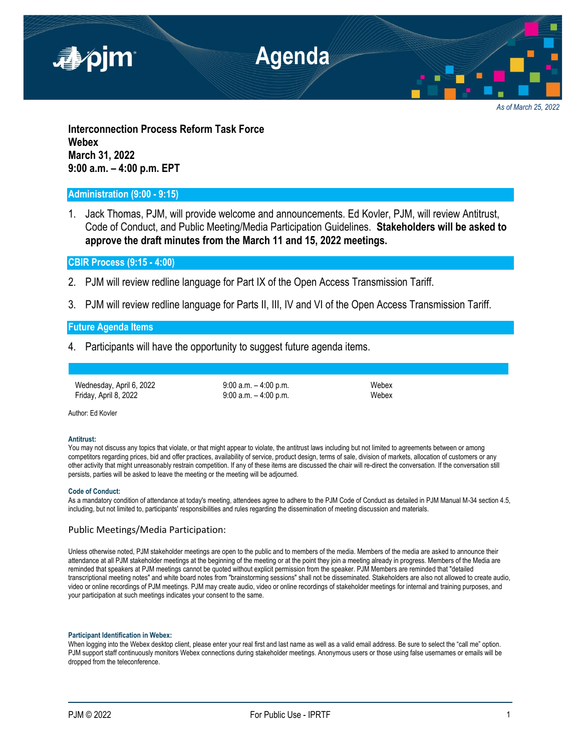

*As of March 25, 2022*

**Interconnection Process Reform Task Force Webex March 31, 2022 9:00 a.m. – 4:00 p.m. EPT**

# **Administration (9:00 - 9:15)**

1. Jack Thomas, PJM, will provide welcome and announcements. Ed Kovler, PJM, will review Antitrust, Code of Conduct, and Public Meeting/Media Participation Guidelines. **Stakeholders will be asked to approve the draft minutes from the March 11 and 15, 2022 meetings.**

**CBIR Process (9:15 - 4:00)**

- 2. PJM will review redline language for Part IX of the Open Access Transmission Tariff.
- 3. PJM will review redline language for Parts II, III, IV and VI of the Open Access Transmission Tariff.

## **Future Agenda Items**

4. Participants will have the opportunity to suggest future agenda items.

Wednesday, April 6, 2022 9:00 a.m. -4:00 p.m. Friday, April 8, 2022 **9:00 a.m.** – 4:00 p.m. **Webex** 

Author: Ed Kovler

### **Antitrust:**

You may not discuss any topics that violate, or that might appear to violate, the antitrust laws including but not limited to agreements between or among competitors regarding prices, bid and offer practices, availability of service, product design, terms of sale, division of markets, allocation of customers or any other activity that might unreasonably restrain competition. If any of these items are discussed the chair will re-direct the conversation. If the conversation still persists, parties will be asked to leave the meeting or the meeting will be adjourned.

### **Code of Conduct:**

As a mandatory condition of attendance at today's meeting, attendees agree to adhere to the PJM Code of Conduct as detailed in PJM Manual M-34 section 4.5, including, but not limited to, participants' responsibilities and rules regarding the dissemination of meeting discussion and materials.

## Public Meetings/Media Participation:

Unless otherwise noted, PJM stakeholder meetings are open to the public and to members of the media. Members of the media are asked to announce their attendance at all PJM stakeholder meetings at the beginning of the meeting or at the point they join a meeting already in progress. Members of the Media are reminded that speakers at PJM meetings cannot be quoted without explicit permission from the speaker. PJM Members are reminded that "detailed transcriptional meeting notes" and white board notes from "brainstorming sessions" shall not be disseminated. Stakeholders are also not allowed to create audio, video or online recordings of PJM meetings. PJM may create audio, video or online recordings of stakeholder meetings for internal and training purposes, and your participation at such meetings indicates your consent to the same.

### **Participant Identification in Webex:**

When logging into the Webex desktop client, please enter your real first and last name as well as a valid email address. Be sure to select the "call me" option. PJM support staff continuously monitors Webex connections during stakeholder meetings. Anonymous users or those using false usernames or emails will be dropped from the teleconference.